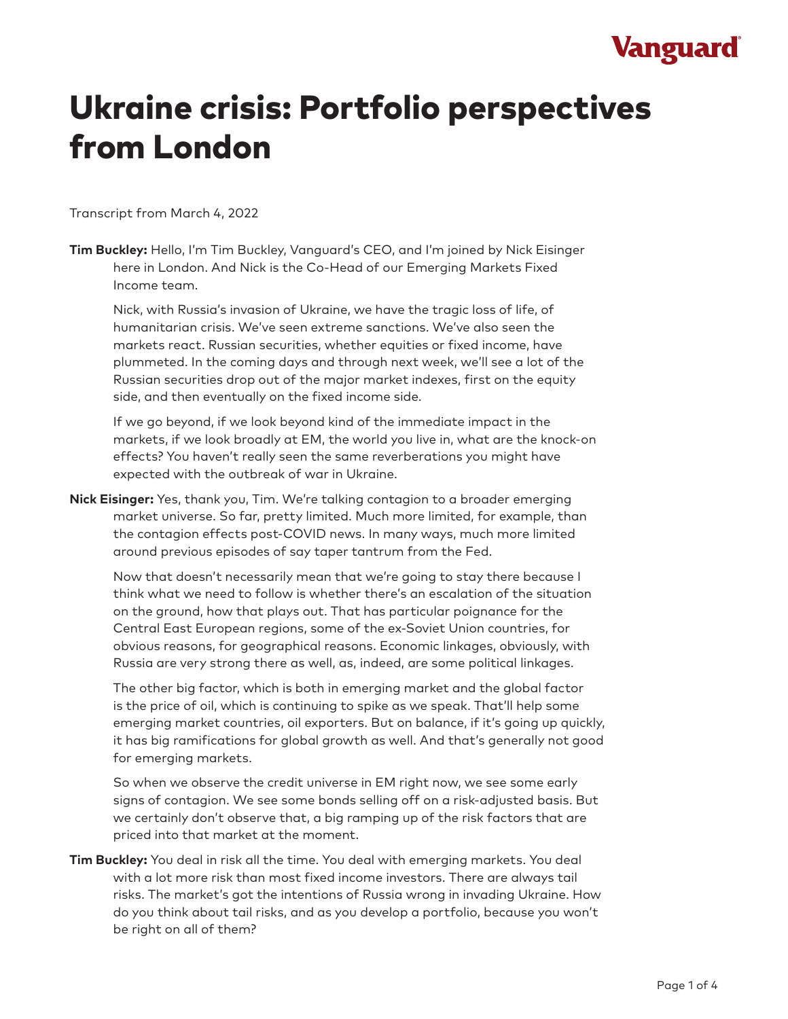## **Vanguard**

# Ukraine crisis: Portfolio perspectives from London

Transcript from March 4, 2022

**Tim Buckley:** Hello, I'm Tim Buckley, Vanguard's CEO, and I'm joined by Nick Eisinger here in London. And Nick is the Co-Head of our Emerging Markets Fixed Income team.

Nick, with Russia's invasion of Ukraine, we have the tragic loss of life, of humanitarian crisis. We've seen extreme sanctions. We've also seen the markets react. Russian securities, whether equities or fixed income, have plummeted. In the coming days and through next week, we'll see a lot of the Russian securities drop out of the major market indexes, first on the equity side, and then eventually on the fixed income side.

If we go beyond, if we look beyond kind of the immediate impact in the markets, if we look broadly at EM, the world you live in, what are the knock-on effects? You haven't really seen the same reverberations you might have expected with the outbreak of war in Ukraine.

**Nick Eisinger:** Yes, thank you, Tim. We're talking contagion to a broader emerging market universe. So far, pretty limited. Much more limited, for example, than the contagion effects post-COVID news. In many ways, much more limited around previous episodes of say taper tantrum from the Fed.

Now that doesn't necessarily mean that we're going to stay there because I think what we need to follow is whether there's an escalation of the situation on the ground, how that plays out. That has particular poignance for the Central East European regions, some of the ex-Soviet Union countries, for obvious reasons, for geographical reasons. Economic linkages, obviously, with Russia are very strong there as well, as, indeed, are some political linkages.

The other big factor, which is both in emerging market and the global factor is the price of oil, which is continuing to spike as we speak. That'll help some emerging market countries, oil exporters. But on balance, if it's going up quickly, it has big ramifications for global growth as well. And that's generally not good for emerging markets.

So when we observe the credit universe in EM right now, we see some early signs of contagion. We see some bonds selling off on a risk-adjusted basis. But we certainly don't observe that, a big ramping up of the risk factors that are priced into that market at the moment.

**Tim Buckley:** You deal in risk all the time. You deal with emerging markets. You deal with a lot more risk than most fixed income investors. There are always tail risks. The market's got the intentions of Russia wrong in invading Ukraine. How do you think about tail risks, and as you develop a portfolio, because you won't be right on all of them?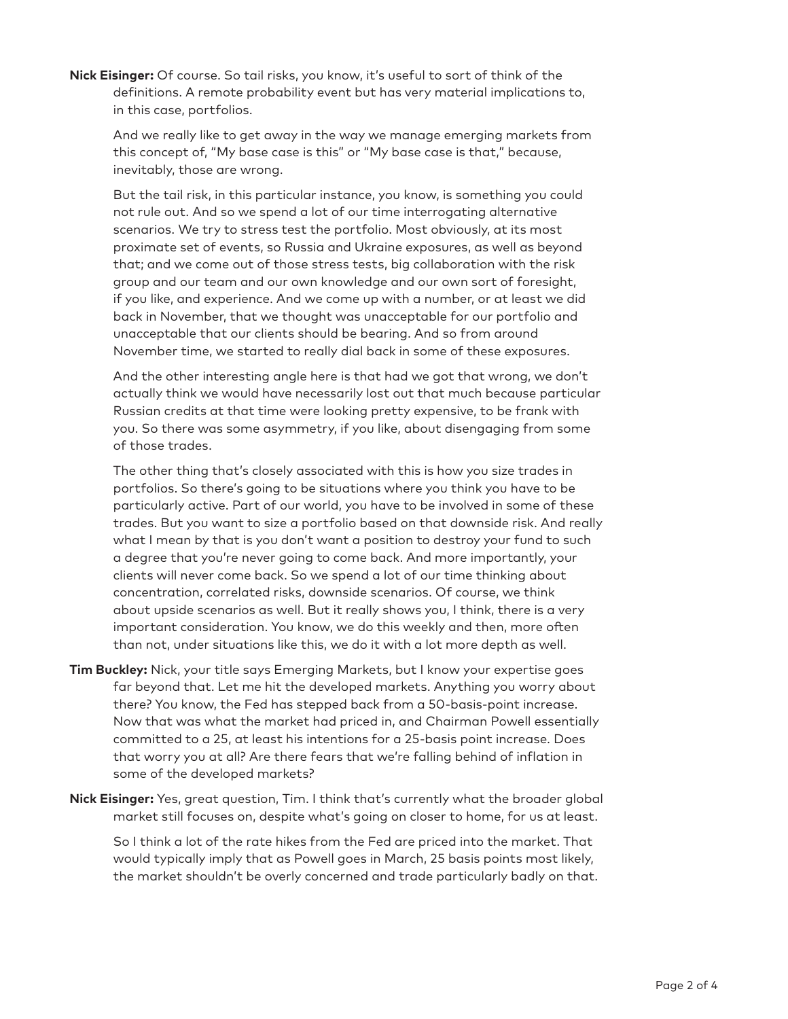**Nick Eisinger:** Of course. So tail risks, you know, it's useful to sort of think of the definitions. A remote probability event but has very material implications to, in this case, portfolios.

And we really like to get away in the way we manage emerging markets from this concept of, "My base case is this" or "My base case is that," because, inevitably, those are wrong.

But the tail risk, in this particular instance, you know, is something you could not rule out. And so we spend a lot of our time interrogating alternative scenarios. We try to stress test the portfolio. Most obviously, at its most proximate set of events, so Russia and Ukraine exposures, as well as beyond that; and we come out of those stress tests, big collaboration with the risk group and our team and our own knowledge and our own sort of foresight, if you like, and experience. And we come up with a number, or at least we did back in November, that we thought was unacceptable for our portfolio and unacceptable that our clients should be bearing. And so from around November time, we started to really dial back in some of these exposures.

And the other interesting angle here is that had we got that wrong, we don't actually think we would have necessarily lost out that much because particular Russian credits at that time were looking pretty expensive, to be frank with you. So there was some asymmetry, if you like, about disengaging from some of those trades.

The other thing that's closely associated with this is how you size trades in portfolios. So there's going to be situations where you think you have to be particularly active. Part of our world, you have to be involved in some of these trades. But you want to size a portfolio based on that downside risk. And really what I mean by that is you don't want a position to destroy your fund to such a degree that you're never going to come back. And more importantly, your clients will never come back. So we spend a lot of our time thinking about concentration, correlated risks, downside scenarios. Of course, we think about upside scenarios as well. But it really shows you, I think, there is a very important consideration. You know, we do this weekly and then, more often than not, under situations like this, we do it with a lot more depth as well.

- **Tim Buckley:** Nick, your title says Emerging Markets, but I know your expertise goes far beyond that. Let me hit the developed markets. Anything you worry about there? You know, the Fed has stepped back from a 50-basis-point increase. Now that was what the market had priced in, and Chairman Powell essentially committed to a 25, at least his intentions for a 25-basis point increase. Does that worry you at all? Are there fears that we're falling behind of inflation in some of the developed markets?
- **Nick Eisinger:** Yes, great question, Tim. I think that's currently what the broader global market still focuses on, despite what's going on closer to home, for us at least.

So I think a lot of the rate hikes from the Fed are priced into the market. That would typically imply that as Powell goes in March, 25 basis points most likely, the market shouldn't be overly concerned and trade particularly badly on that.